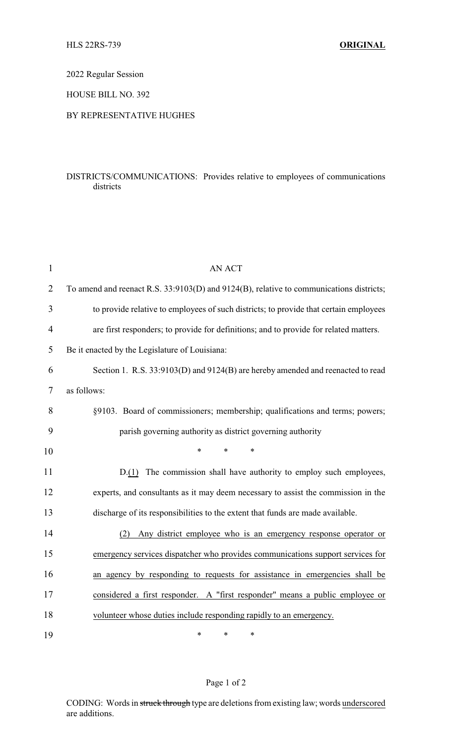2022 Regular Session

HOUSE BILL NO. 392

## BY REPRESENTATIVE HUGHES

## DISTRICTS/COMMUNICATIONS: Provides relative to employees of communications districts

| $\mathbf{1}$   | <b>AN ACT</b>                                                                           |  |  |
|----------------|-----------------------------------------------------------------------------------------|--|--|
| $\overline{2}$ | To amend and reenact R.S. 33:9103(D) and 9124(B), relative to communications districts; |  |  |
| 3              | to provide relative to employees of such districts; to provide that certain employees   |  |  |
| 4              | are first responders; to provide for definitions; and to provide for related matters.   |  |  |
| 5              | Be it enacted by the Legislature of Louisiana:                                          |  |  |
| 6              | Section 1. R.S. 33:9103(D) and 9124(B) are hereby amended and reenacted to read         |  |  |
| 7              | as follows:                                                                             |  |  |
| 8              | §9103. Board of commissioners; membership; qualifications and terms; powers;            |  |  |
| 9              | parish governing authority as district governing authority                              |  |  |
| 10             | $\ast$<br>*<br>*                                                                        |  |  |
| 11             | D.(1) The commission shall have authority to employ such employees,                     |  |  |
| 12             | experts, and consultants as it may deem necessary to assist the commission in the       |  |  |
| 13             | discharge of its responsibilities to the extent that funds are made available.          |  |  |
| 14             | Any district employee who is an emergency response operator or<br>(2)                   |  |  |
| 15             | emergency services dispatcher who provides communications support services for          |  |  |
| 16             | an agency by responding to requests for assistance in emergencies shall be              |  |  |
| 17             | considered a first responder. A "first responder" means a public employee or            |  |  |
| 18             | volunteer whose duties include responding rapidly to an emergency.                      |  |  |
| 19             | *<br>*<br>$\ast$                                                                        |  |  |

## Page 1 of 2

CODING: Words in struck through type are deletions from existing law; words underscored are additions.